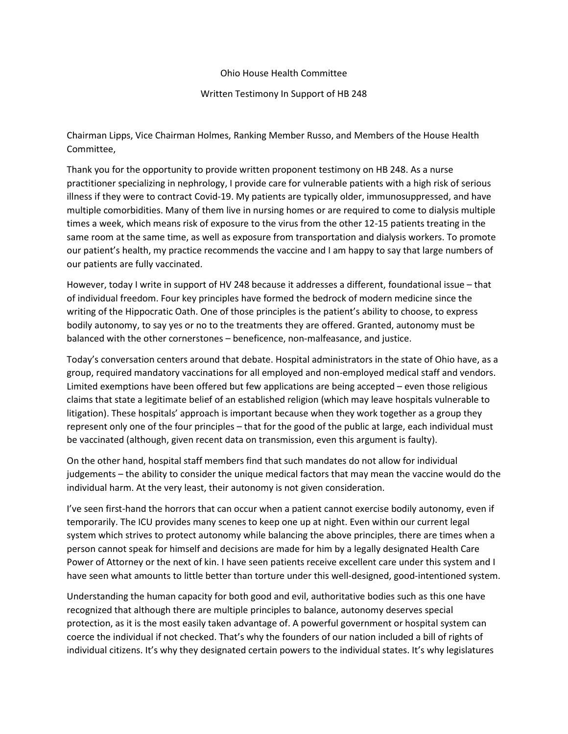Ohio House Health Committee

Written Testimony In Support of HB 248

Chairman Lipps, Vice Chairman Holmes, Ranking Member Russo, and Members of the House Health Committee,

Thank you for the opportunity to provide written proponent testimony on HB 248. As a nurse practitioner specializing in nephrology, I provide care for vulnerable patients with a high risk of serious illness if they were to contract Covid-19. My patients are typically older, immunosuppressed, and have multiple comorbidities. Many of them live in nursing homes or are required to come to dialysis multiple times a week, which means risk of exposure to the virus from the other 12-15 patients treating in the same room at the same time, as well as exposure from transportation and dialysis workers. To promote our patient's health, my practice recommends the vaccine and I am happy to say that large numbers of our patients are fully vaccinated.

However, today I write in support of HV 248 because it addresses a different, foundational issue – that of individual freedom. Four key principles have formed the bedrock of modern medicine since the writing of the Hippocratic Oath. One of those principles is the patient's ability to choose, to express bodily autonomy, to say yes or no to the treatments they are offered. Granted, autonomy must be balanced with the other cornerstones – beneficence, non-malfeasance, and justice.

Today's conversation centers around that debate. Hospital administrators in the state of Ohio have, as a group, required mandatory vaccinations for all employed and non-employed medical staff and vendors. Limited exemptions have been offered but few applications are being accepted – even those religious claims that state a legitimate belief of an established religion (which may leave hospitals vulnerable to litigation). These hospitals' approach is important because when they work together as a group they represent only one of the four principles – that for the good of the public at large, each individual must be vaccinated (although, given recent data on transmission, even this argument is faulty).

On the other hand, hospital staff members find that such mandates do not allow for individual judgements – the ability to consider the unique medical factors that may mean the vaccine would do the individual harm. At the very least, their autonomy is not given consideration.

I've seen first-hand the horrors that can occur when a patient cannot exercise bodily autonomy, even if temporarily. The ICU provides many scenes to keep one up at night. Even within our current legal system which strives to protect autonomy while balancing the above principles, there are times when a person cannot speak for himself and decisions are made for him by a legally designated Health Care Power of Attorney or the next of kin. I have seen patients receive excellent care under this system and I have seen what amounts to little better than torture under this well-designed, good-intentioned system.

Understanding the human capacity for both good and evil, authoritative bodies such as this one have recognized that although there are multiple principles to balance, autonomy deserves special protection, as it is the most easily taken advantage of. A powerful government or hospital system can coerce the individual if not checked. That's why the founders of our nation included a bill of rights of individual citizens. It's why they designated certain powers to the individual states. It's why legislatures